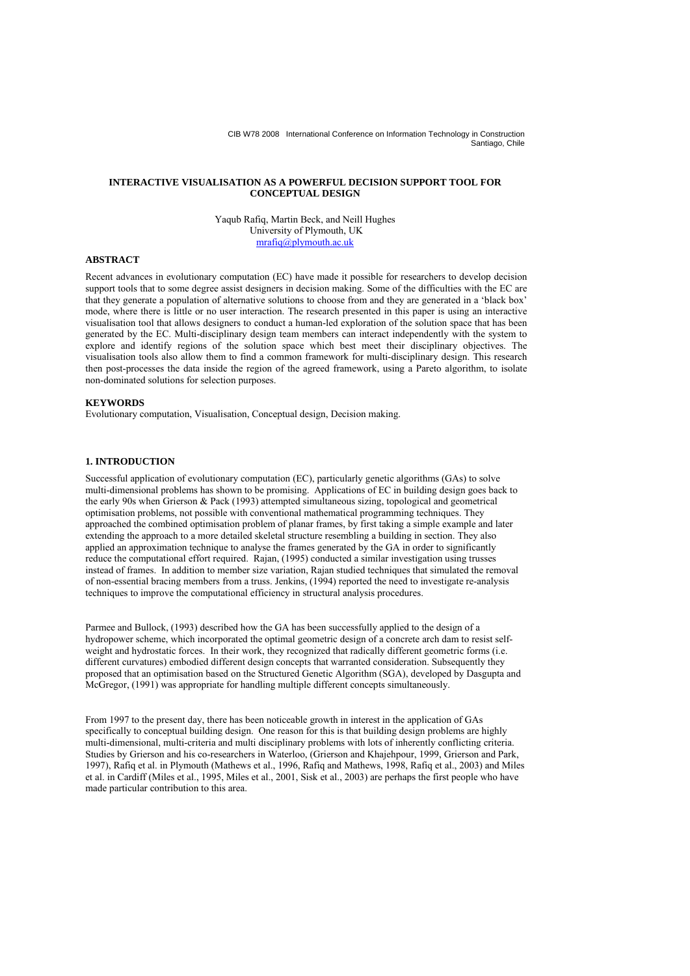## **INTERACTIVE VISUALISATION AS A POWERFUL DECISION SUPPORT TOOL FOR CONCEPTUAL DESIGN**

Yaqub Rafiq, Martin Beck, and Neill Hughes University of Plymouth, UK mrafiq@plymouth.ac.uk

## **ABSTRACT**

Recent advances in evolutionary computation (EC) have made it possible for researchers to develop decision support tools that to some degree assist designers in decision making. Some of the difficulties with the EC are that they generate a population of alternative solutions to choose from and they are generated in a 'black box' mode, where there is little or no user interaction. The research presented in this paper is using an interactive visualisation tool that allows designers to conduct a human-led exploration of the solution space that has been generated by the EC. Multi-disciplinary design team members can interact independently with the system to explore and identify regions of the solution space which best meet their disciplinary objectives. The visualisation tools also allow them to find a common framework for multi-disciplinary design. This research then post-processes the data inside the region of the agreed framework, using a Pareto algorithm, to isolate non-dominated solutions for selection purposes.

#### **KEYWORDS**

Evolutionary computation, Visualisation, Conceptual design, Decision making.

## **1. INTRODUCTION**

Successful application of evolutionary computation (EC), particularly genetic algorithms (GAs) to solve multi-dimensional problems has shown to be promising. Applications of EC in building design goes back to the early 90s when Grierson & Pack (1993) attempted simultaneous sizing, topological and geometrical optimisation problems, not possible with conventional mathematical programming techniques. They approached the combined optimisation problem of planar frames, by first taking a simple example and later extending the approach to a more detailed skeletal structure resembling a building in section. They also applied an approximation technique to analyse the frames generated by the GA in order to significantly reduce the computational effort required. Rajan, (1995) conducted a similar investigation using trusses instead of frames. In addition to member size variation, Rajan studied techniques that simulated the removal of non-essential bracing members from a truss. Jenkins, (1994) reported the need to investigate re-analysis techniques to improve the computational efficiency in structural analysis procedures.

Parmee and Bullock, (1993) described how the GA has been successfully applied to the design of a hydropower scheme, which incorporated the optimal geometric design of a concrete arch dam to resist selfweight and hydrostatic forces. In their work, they recognized that radically different geometric forms (i.e. different curvatures) embodied different design concepts that warranted consideration. Subsequently they proposed that an optimisation based on the Structured Genetic Algorithm (SGA), developed by Dasgupta and McGregor, (1991) was appropriate for handling multiple different concepts simultaneously.

From 1997 to the present day, there has been noticeable growth in interest in the application of GAs specifically to conceptual building design. One reason for this is that building design problems are highly multi-dimensional, multi-criteria and multi disciplinary problems with lots of inherently conflicting criteria. Studies by Grierson and his co-researchers in Waterloo, (Grierson and Khajehpour, 1999, Grierson and Park, 1997), Rafiq et al. in Plymouth (Mathews et al., 1996, Rafiq and Mathews, 1998, Rafiq et al., 2003) and Miles et al. in Cardiff (Miles et al., 1995, Miles et al., 2001, Sisk et al., 2003) are perhaps the first people who have made particular contribution to this area.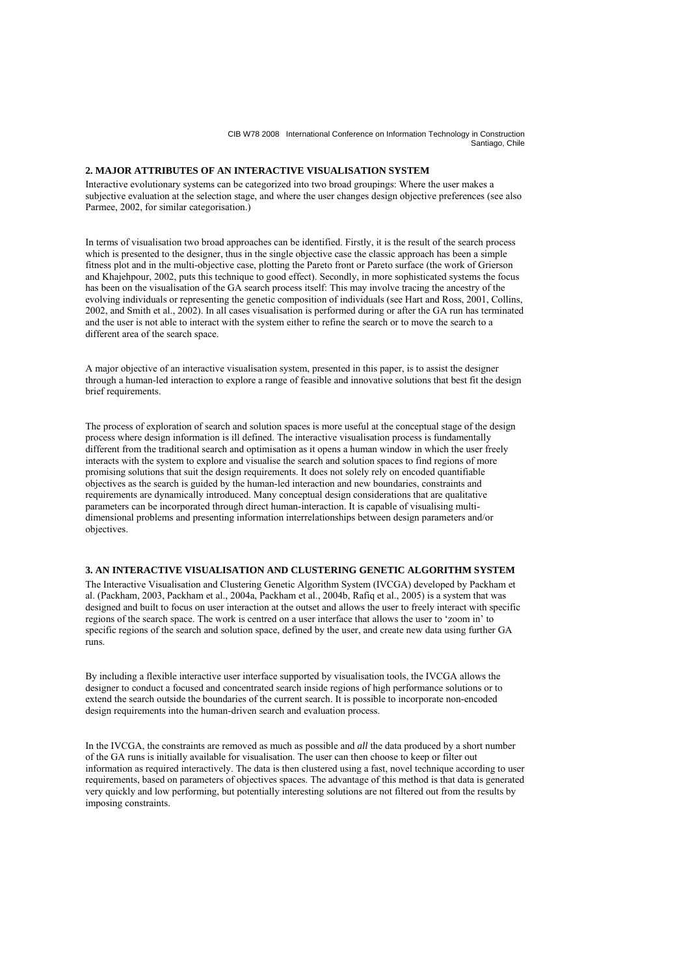# **2. MAJOR ATTRIBUTES OF AN INTERACTIVE VISUALISATION SYSTEM**

Interactive evolutionary systems can be categorized into two broad groupings: Where the user makes a subjective evaluation at the selection stage, and where the user changes design objective preferences (see also Parmee, 2002, for similar categorisation.)

In terms of visualisation two broad approaches can be identified. Firstly, it is the result of the search process which is presented to the designer, thus in the single objective case the classic approach has been a simple fitness plot and in the multi-objective case, plotting the Pareto front or Pareto surface (the work of Grierson and Khajehpour, 2002, puts this technique to good effect). Secondly, in more sophisticated systems the focus has been on the visualisation of the GA search process itself: This may involve tracing the ancestry of the evolving individuals or representing the genetic composition of individuals (see Hart and Ross, 2001, Collins, 2002, and Smith et al., 2002). In all cases visualisation is performed during or after the GA run has terminated and the user is not able to interact with the system either to refine the search or to move the search to a different area of the search space.

A major objective of an interactive visualisation system, presented in this paper, is to assist the designer through a human-led interaction to explore a range of feasible and innovative solutions that best fit the design brief requirements.

The process of exploration of search and solution spaces is more useful at the conceptual stage of the design process where design information is ill defined. The interactive visualisation process is fundamentally different from the traditional search and optimisation as it opens a human window in which the user freely interacts with the system to explore and visualise the search and solution spaces to find regions of more promising solutions that suit the design requirements. It does not solely rely on encoded quantifiable objectives as the search is guided by the human-led interaction and new boundaries, constraints and requirements are dynamically introduced. Many conceptual design considerations that are qualitative parameters can be incorporated through direct human-interaction. It is capable of visualising multidimensional problems and presenting information interrelationships between design parameters and/or objectives.

## **3. AN INTERACTIVE VISUALISATION AND CLUSTERING GENETIC ALGORITHM SYSTEM**

The Interactive Visualisation and Clustering Genetic Algorithm System (IVCGA) developed by Packham et al. (Packham, 2003, Packham et al., 2004a, Packham et al., 2004b, Rafiq et al., 2005) is a system that was designed and built to focus on user interaction at the outset and allows the user to freely interact with specific regions of the search space. The work is centred on a user interface that allows the user to 'zoom in' to specific regions of the search and solution space, defined by the user, and create new data using further GA runs.

By including a flexible interactive user interface supported by visualisation tools, the IVCGA allows the designer to conduct a focused and concentrated search inside regions of high performance solutions or to extend the search outside the boundaries of the current search. It is possible to incorporate non-encoded design requirements into the human-driven search and evaluation process.

In the IVCGA, the constraints are removed as much as possible and *all* the data produced by a short number of the GA runs is initially available for visualisation. The user can then choose to keep or filter out information as required interactively. The data is then clustered using a fast, novel technique according to user requirements, based on parameters of objectives spaces. The advantage of this method is that data is generated very quickly and low performing, but potentially interesting solutions are not filtered out from the results by imposing constraints.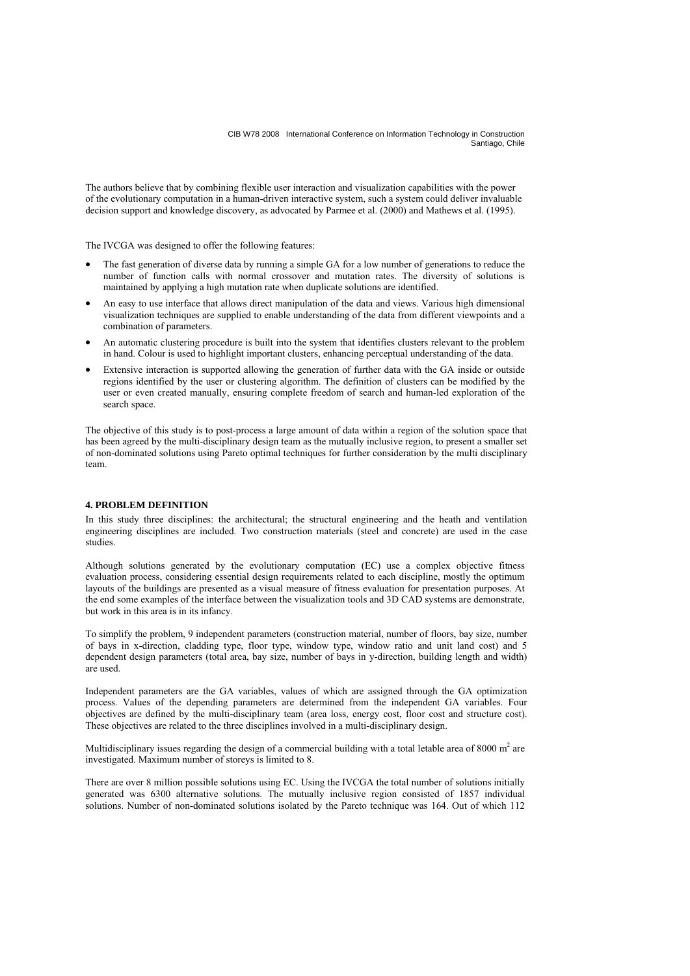The authors believe that by combining flexible user interaction and visualization capabilities with the power of the evolutionary computation in a human-driven interactive system, such a system could deliver invaluable decision support and knowledge discovery, as advocated by Parmee et al. (2000) and Mathews et al. (1995).

The IVCGA was designed to offer the following features:

- The fast generation of diverse data by running a simple GA for a low number of generations to reduce the number of function calls with normal crossover and mutation rates. The diversity of solutions is maintained by applying a high mutation rate when duplicate solutions are identified.
- An easy to use interface that allows direct manipulation of the data and views. Various high dimensional visualization techniques are supplied to enable understanding of the data from different viewpoints and a combination of parameters.
- An automatic clustering procedure is built into the system that identifies clusters relevant to the problem in hand. Colour is used to highlight important clusters, enhancing perceptual understanding of the data.
- Extensive interaction is supported allowing the generation of further data with the GA inside or outside regions identified by the user or clustering algorithm. The definition of clusters can be modified by the user or even created manually, ensuring complete freedom of search and human-led exploration of the search space.

The objective of this study is to post-process a large amount of data within a region of the solution space that has been agreed by the multi-disciplinary design team as the mutually inclusive region, to present a smaller set of non-dominated solutions using Pareto optimal techniques for further consideration by the multi disciplinary team.

## **4. PROBLEM DEFINITION**

In this study three disciplines: the architectural; the structural engineering and the heath and ventilation engineering disciplines are included. Two construction materials (steel and concrete) are used in the case studies.

Although solutions generated by the evolutionary computation (EC) use a complex objective fitness evaluation process, considering essential design requirements related to each discipline, mostly the optimum layouts of the buildings are presented as a visual measure of fitness evaluation for presentation purposes. At the end some examples of the interface between the visualization tools and 3D CAD systems are demonstrate, but work in this area is in its infancy.

To simplify the problem, 9 independent parameters (construction material, number of floors, bay size, number of bays in x-direction, cladding type, floor type, window type, window ratio and unit land cost) and 5 dependent design parameters (total area, bay size, number of bays in y-direction, building length and width) are used.

Independent parameters are the GA variables, values of which are assigned through the GA optimization process. Values of the depending parameters are determined from the independent GA variables. Four objectives are defined by the multi-disciplinary team (area loss, energy cost, floor cost and structure cost). These objectives are related to the three disciplines involved in a multi-disciplinary design.

Multidisciplinary issues regarding the design of a commercial building with a total letable area of 8000  $m<sup>2</sup>$  are investigated. Maximum number of storeys is limited to 8.

There are over 8 million possible solutions using EC. Using the IVCGA the total number of solutions initially generated was 6300 alternative solutions. The mutually inclusive region consisted of 1857 individual solutions. Number of non-dominated solutions isolated by the Pareto technique was 164. Out of which 112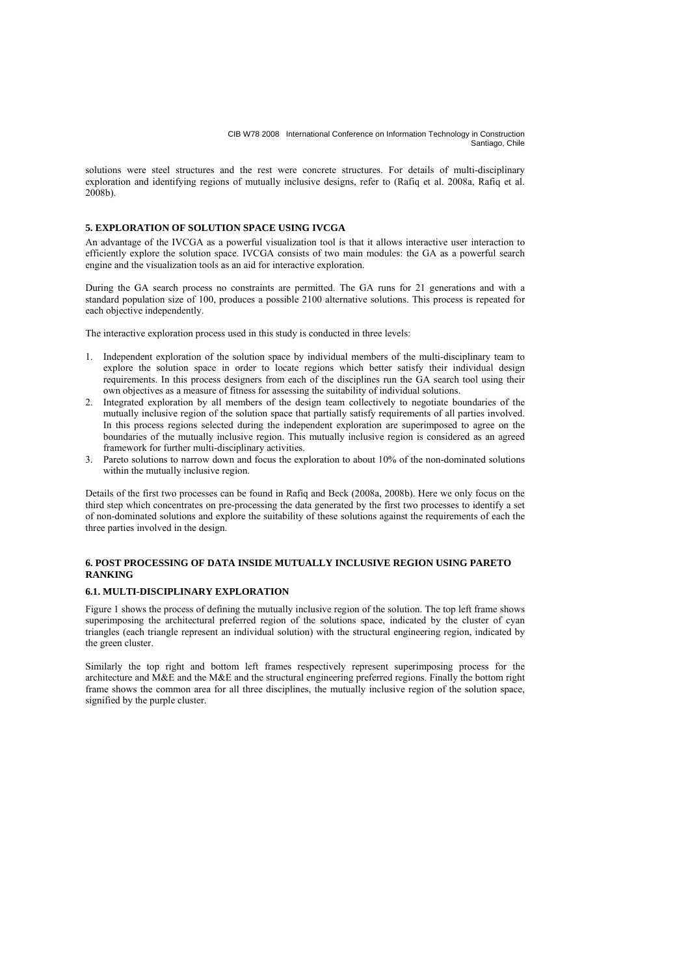solutions were steel structures and the rest were concrete structures. For details of multi-disciplinary exploration and identifying regions of mutually inclusive designs, refer to (Rafiq et al. 2008a, Rafiq et al. 2008b).

## **5. EXPLORATION OF SOLUTION SPACE USING IVCGA**

An advantage of the IVCGA as a powerful visualization tool is that it allows interactive user interaction to efficiently explore the solution space. IVCGA consists of two main modules: the GA as a powerful search engine and the visualization tools as an aid for interactive exploration.

During the GA search process no constraints are permitted. The GA runs for 21 generations and with a standard population size of 100, produces a possible 2100 alternative solutions. This process is repeated for each objective independently.

The interactive exploration process used in this study is conducted in three levels:

- 1. Independent exploration of the solution space by individual members of the multi-disciplinary team to explore the solution space in order to locate regions which better satisfy their individual design requirements. In this process designers from each of the disciplines run the GA search tool using their own objectives as a measure of fitness for assessing the suitability of individual solutions.
- 2. Integrated exploration by all members of the design team collectively to negotiate boundaries of the mutually inclusive region of the solution space that partially satisfy requirements of all parties involved. In this process regions selected during the independent exploration are superimposed to agree on the boundaries of the mutually inclusive region. This mutually inclusive region is considered as an agreed framework for further multi-disciplinary activities.
- 3. Pareto solutions to narrow down and focus the exploration to about 10% of the non-dominated solutions within the mutually inclusive region.

Details of the first two processes can be found in Rafiq and Beck (2008a, 2008b). Here we only focus on the third step which concentrates on pre-processing the data generated by the first two processes to identify a set of non-dominated solutions and explore the suitability of these solutions against the requirements of each the three parties involved in the design.

## **6. POST PROCESSING OF DATA INSIDE MUTUALLY INCLUSIVE REGION USING PARETO RANKING**

## **6.1. MULTI-DISCIPLINARY EXPLORATION**

Figure 1 shows the process of defining the mutually inclusive region of the solution. The top left frame shows superimposing the architectural preferred region of the solutions space, indicated by the cluster of cyan triangles (each triangle represent an individual solution) with the structural engineering region, indicated by the green cluster.

Similarly the top right and bottom left frames respectively represent superimposing process for the architecture and M&E and the M&E and the structural engineering preferred regions. Finally the bottom right frame shows the common area for all three disciplines, the mutually inclusive region of the solution space, signified by the purple cluster.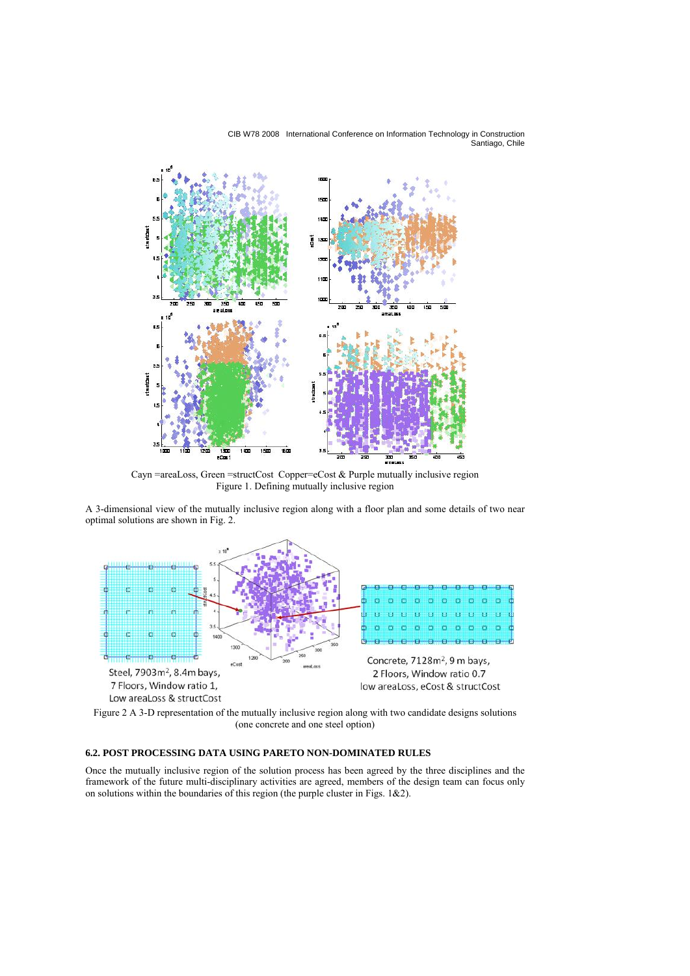

Cayn =areaLoss, Green =structCost Copper=eCost & Purple mutually inclusive region Figure 1. Defining mutually inclusive region

A 3-dimensional view of the mutually inclusive region along with a floor plan and some details of two near optimal solutions are shown in Fig. 2.



Figure 2 A 3-D representation of the mutually inclusive region along with two candidate designs solutions (one concrete and one steel option)

# **6.2. POST PROCESSING DATA USING PARETO NON-DOMINATED RULES**

Once the mutually inclusive region of the solution process has been agreed by the three disciplines and the framework of the future multi-disciplinary activities are agreed, members of the design team can focus only on solutions within the boundaries of this region (the purple cluster in Figs. 1&2).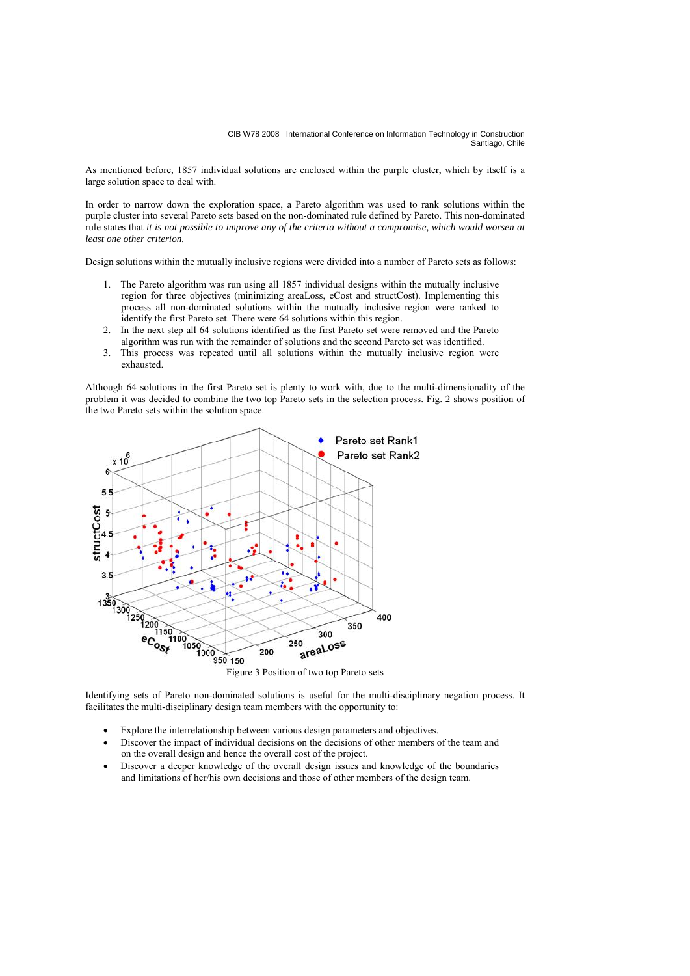As mentioned before, 1857 individual solutions are enclosed within the purple cluster, which by itself is a large solution space to deal with.

In order to narrow down the exploration space, a Pareto algorithm was used to rank solutions within the purple cluster into several Pareto sets based on the non-dominated rule defined by Pareto. This non-dominated rule states that *it is not possible to improve any of the criteria without a compromise, which would worsen at least one other criterion.* 

Design solutions within the mutually inclusive regions were divided into a number of Pareto sets as follows:

- 1. The Pareto algorithm was run using all 1857 individual designs within the mutually inclusive region for three objectives (minimizing areaLoss, eCost and structCost). Implementing this process all non-dominated solutions within the mutually inclusive region were ranked to identify the first Pareto set. There were 64 solutions within this region.
- 2. In the next step all 64 solutions identified as the first Pareto set were removed and the Pareto algorithm was run with the remainder of solutions and the second Pareto set was identified.
- 3. This process was repeated until all solutions within the mutually inclusive region were exhausted.

Although 64 solutions in the first Pareto set is plenty to work with, due to the multi-dimensionality of the problem it was decided to combine the two top Pareto sets in the selection process. Fig. 2 shows position of the two Pareto sets within the solution space.



Identifying sets of Pareto non-dominated solutions is useful for the multi-disciplinary negation process. It facilitates the multi-disciplinary design team members with the opportunity to:

- Explore the interrelationship between various design parameters and objectives.
- Discover the impact of individual decisions on the decisions of other members of the team and on the overall design and hence the overall cost of the project.
- Discover a deeper knowledge of the overall design issues and knowledge of the boundaries and limitations of her/his own decisions and those of other members of the design team.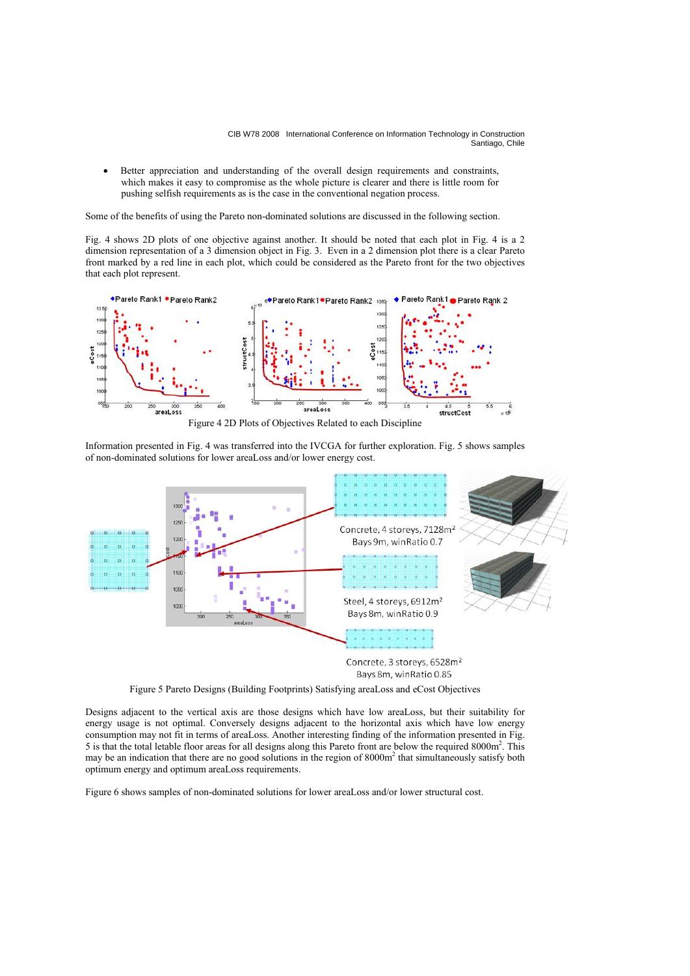• Better appreciation and understanding of the overall design requirements and constraints, which makes it easy to compromise as the whole picture is clearer and there is little room for pushing selfish requirements as is the case in the conventional negation process.

Some of the benefits of using the Pareto non-dominated solutions are discussed in the following section.

Fig. 4 shows 2D plots of one objective against another. It should be noted that each plot in Fig. 4 is a 2 dimension representation of a 3 dimension object in Fig. 3. Even in a 2 dimension plot there is a clear Pareto front marked by a red line in each plot, which could be considered as the Pareto front for the two objectives that each plot represent.



Information presented in Fig. 4 was transferred into the IVCGA for further exploration. Fig. 5 shows samples of non-dominated solutions for lower areaLoss and/or lower energy cost.



Bays 8m, winRatio 0.85

Figure 5 Pareto Designs (Building Footprints) Satisfying areaLoss and eCost Objectives

Designs adjacent to the vertical axis are those designs which have low areaLoss, but their suitability for energy usage is not optimal. Conversely designs adjacent to the horizontal axis which have low energy consumption may not fit in terms of areaLoss. Another interesting finding of the information presented in Fig. 5 is that the total letable floor areas for all designs along this Pareto front are below the required 8000m<sup>2</sup>. This may be an indication that there are no good solutions in the region of 8000m<sup>2</sup> that simultaneously satisfy both optimum energy and optimum areaLoss requirements.

Figure 6 shows samples of non-dominated solutions for lower areaLoss and/or lower structural cost.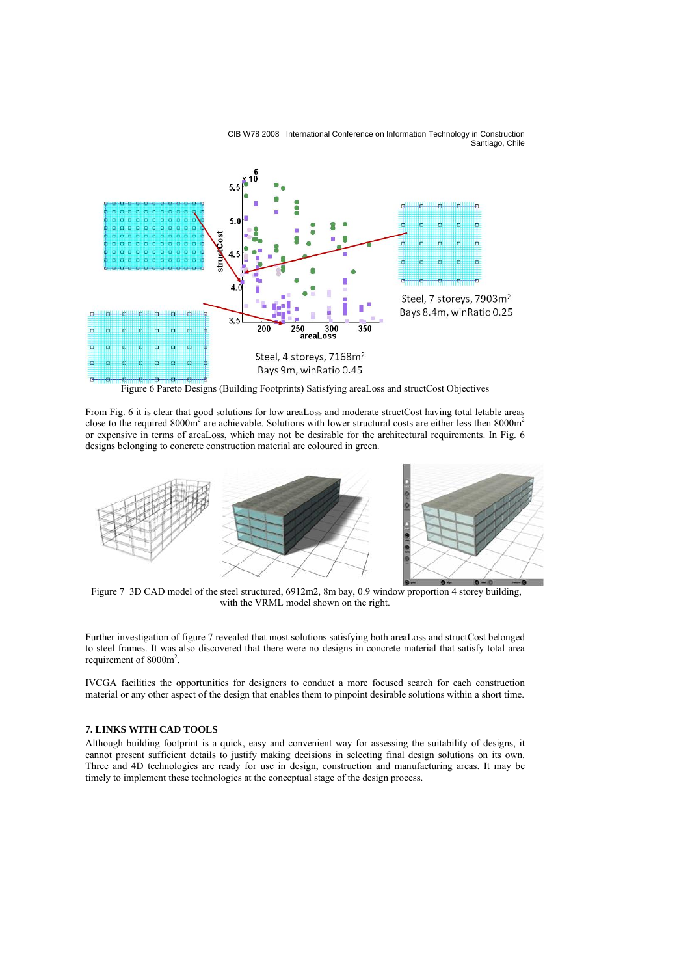

Figure 6 Pareto Designs (Building Footprints) Satisfying areaLoss and structCost Objectives

From Fig. 6 it is clear that good solutions for low areaLoss and moderate structCost having total letable areas close to the required  $8000m^2$  are achievable. Solutions with lower structural costs are either less then  $8000m^2$ or expensive in terms of areaLoss, which may not be desirable for the architectural requirements. In Fig. 6 designs belonging to concrete construction material are coloured in green.



 Figure 7 3D CAD model of the steel structured, 6912m2, 8m bay, 0.9 window proportion 4 storey building, with the VRML model shown on the right.

Further investigation of figure 7 revealed that most solutions satisfying both areaLoss and structCost belonged to steel frames. It was also discovered that there were no designs in concrete material that satisfy total area requirement of  $8000m^2$ .

IVCGA facilities the opportunities for designers to conduct a more focused search for each construction material or any other aspect of the design that enables them to pinpoint desirable solutions within a short time.

# **7. LINKS WITH CAD TOOLS**

Although building footprint is a quick, easy and convenient way for assessing the suitability of designs, it cannot present sufficient details to justify making decisions in selecting final design solutions on its own. Three and 4D technologies are ready for use in design, construction and manufacturing areas. It may be timely to implement these technologies at the conceptual stage of the design process.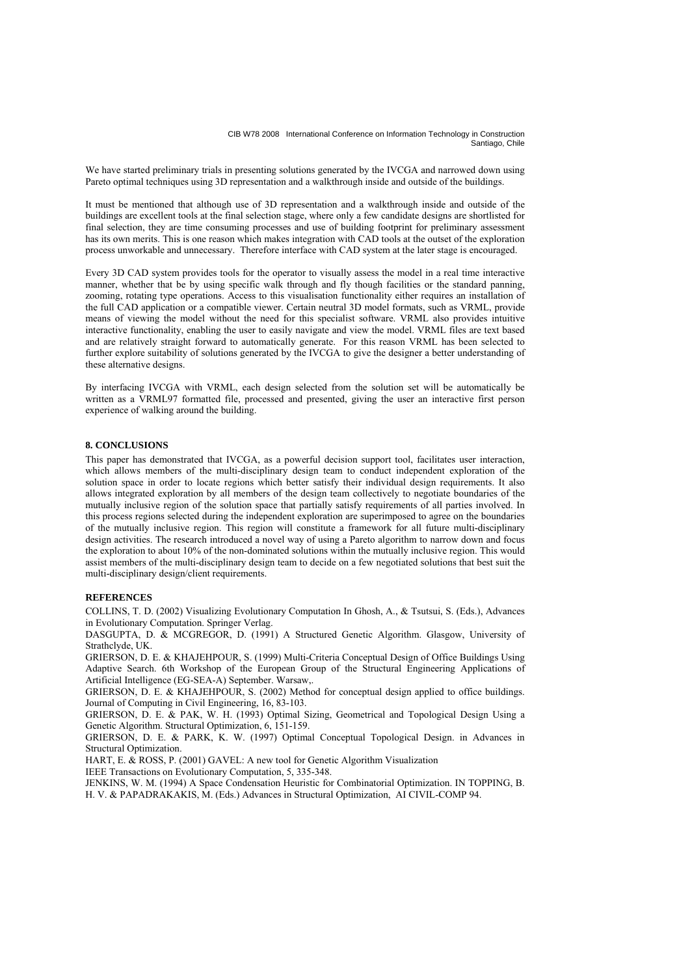We have started preliminary trials in presenting solutions generated by the IVCGA and narrowed down using Pareto optimal techniques using 3D representation and a walkthrough inside and outside of the buildings.

It must be mentioned that although use of 3D representation and a walkthrough inside and outside of the buildings are excellent tools at the final selection stage, where only a few candidate designs are shortlisted for final selection, they are time consuming processes and use of building footprint for preliminary assessment has its own merits. This is one reason which makes integration with CAD tools at the outset of the exploration process unworkable and unnecessary. Therefore interface with CAD system at the later stage is encouraged.

Every 3D CAD system provides tools for the operator to visually assess the model in a real time interactive manner, whether that be by using specific walk through and fly though facilities or the standard panning, zooming, rotating type operations. Access to this visualisation functionality either requires an installation of the full CAD application or a compatible viewer. Certain neutral 3D model formats, such as VRML, provide means of viewing the model without the need for this specialist software. VRML also provides intuitive interactive functionality, enabling the user to easily navigate and view the model. VRML files are text based and are relatively straight forward to automatically generate. For this reason VRML has been selected to further explore suitability of solutions generated by the IVCGA to give the designer a better understanding of these alternative designs.

By interfacing IVCGA with VRML, each design selected from the solution set will be automatically be written as a VRML97 formatted file, processed and presented, giving the user an interactive first person experience of walking around the building.

#### **8. CONCLUSIONS**

This paper has demonstrated that IVCGA, as a powerful decision support tool, facilitates user interaction, which allows members of the multi-disciplinary design team to conduct independent exploration of the solution space in order to locate regions which better satisfy their individual design requirements. It also allows integrated exploration by all members of the design team collectively to negotiate boundaries of the mutually inclusive region of the solution space that partially satisfy requirements of all parties involved. In this process regions selected during the independent exploration are superimposed to agree on the boundaries of the mutually inclusive region. This region will constitute a framework for all future multi-disciplinary design activities. The research introduced a novel way of using a Pareto algorithm to narrow down and focus the exploration to about 10% of the non-dominated solutions within the mutually inclusive region. This would assist members of the multi-disciplinary design team to decide on a few negotiated solutions that best suit the multi-disciplinary design/client requirements.

## **REFERENCES**

COLLINS, T. D. (2002) Visualizing Evolutionary Computation In Ghosh, A., & Tsutsui, S. (Eds.), Advances in Evolutionary Computation. Springer Verlag.

DASGUPTA, D. & MCGREGOR, D. (1991) A Structured Genetic Algorithm. Glasgow, University of Strathclyde, UK.

GRIERSON, D. E. & KHAJEHPOUR, S. (1999) Multi-Criteria Conceptual Design of Office Buildings Using Adaptive Search. 6th Workshop of the European Group of the Structural Engineering Applications of Artificial Intelligence (EG-SEA-A) September. Warsaw,.

GRIERSON, D. E. & KHAJEHPOUR, S. (2002) Method for conceptual design applied to office buildings. Journal of Computing in Civil Engineering, 16, 83-103.

GRIERSON, D. E. & PAK, W. H. (1993) Optimal Sizing, Geometrical and Topological Design Using a Genetic Algorithm. Structural Optimization, 6, 151-159.

GRIERSON, D. E. & PARK, K. W. (1997) Optimal Conceptual Topological Design. in Advances in Structural Optimization.

HART, E. & ROSS, P. (2001) GAVEL: A new tool for Genetic Algorithm Visualization

IEEE Transactions on Evolutionary Computation, 5, 335-348.

JENKINS, W. M. (1994) A Space Condensation Heuristic for Combinatorial Optimization. IN TOPPING, B. H. V. & PAPADRAKAKIS, M. (Eds.) Advances in Structural Optimization, AI CIVIL-COMP 94.